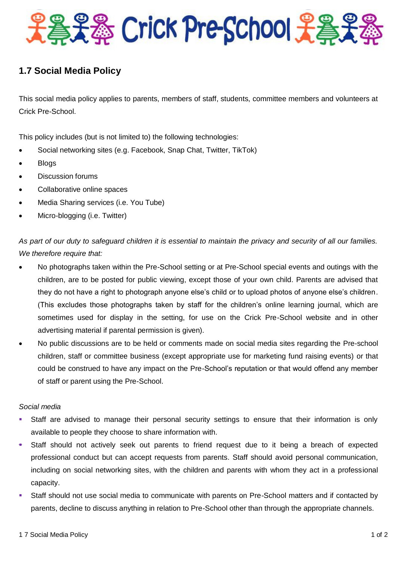

## **1.7 Social Media Policy**

This social media policy applies to parents, members of staff, students, committee members and volunteers at Crick Pre-School.

This policy includes (but is not limited to) the following technologies:

- Social networking sites (e.g. Facebook, Snap Chat, Twitter, TikTok)
- Blogs
- Discussion forums
- Collaborative online spaces
- Media Sharing services (i.e. You Tube)
- Micro-blogging (i.e. Twitter)

*As part of our duty to safeguard children it is essential to maintain the privacy and security of all our families. We therefore require that:*

- No photographs taken within the Pre-School setting or at Pre-School special events and outings with the children, are to be posted for public viewing, except those of your own child. Parents are advised that they do not have a right to photograph anyone else's child or to upload photos of anyone else's children. (This excludes those photographs taken by staff for the children's online learning journal, which are sometimes used for display in the setting, for use on the Crick Pre-School website and in other advertising material if parental permission is given).
- No public discussions are to be held or comments made on social media sites regarding the Pre-school children, staff or committee business (except appropriate use for marketing fund raising events) or that could be construed to have any impact on the Pre-School's reputation or that would offend any member of staff or parent using the Pre-School.

## *Social media*

- Staff are advised to manage their personal security settings to ensure that their information is only available to people they choose to share information with.
- Staff should not actively seek out parents to friend request due to it being a breach of expected professional conduct but can accept requests from parents. Staff should avoid personal communication, including on social networking sites, with the children and parents with whom they act in a professional capacity.
- Staff should not use social media to communicate with parents on Pre-School matters and if contacted by parents, decline to discuss anything in relation to Pre-School other than through the appropriate channels.